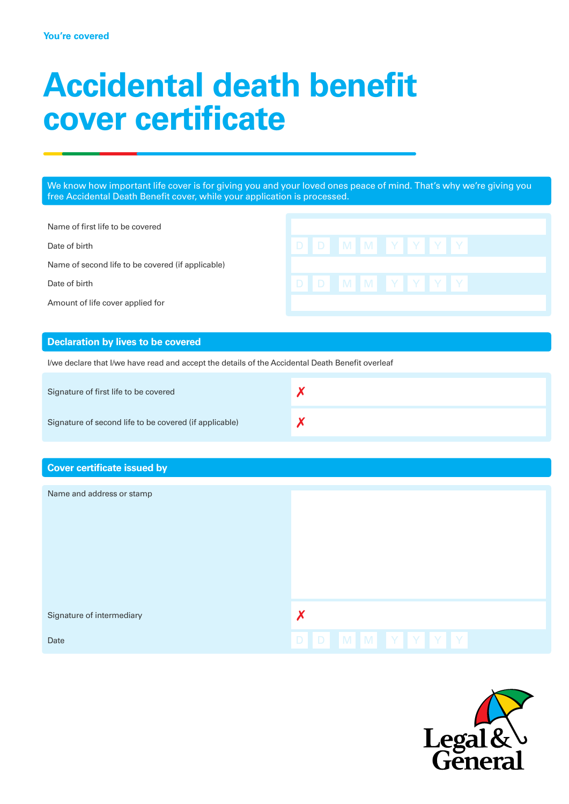# **Accidental death benefit cover certificate**

We know how important life cover is for giving you and your loved ones peace of mind. That's why we're giving you free Accidental Death Benefit cover, while your application is processed.

Name of first life to be covered

Date of birth

Name of second life to be covered (if applicable)

Date of birth **Details and D D M M Y Y Y** Y

Amount of life cover applied for

# **Declaration by lives to be covered**

I/we declare that I/we have read and accept the details of the Accidental Death Benefit overleaf

| Signature of first life to be covered                  |  |
|--------------------------------------------------------|--|
| Signature of second life to be covered (if applicable) |  |

# **Cover certificate issued by**

| Name and address or stamp |                 |
|---------------------------|-----------------|
| Signature of intermediary | Х               |
| Date                      | D D M M Y Y Y Y |